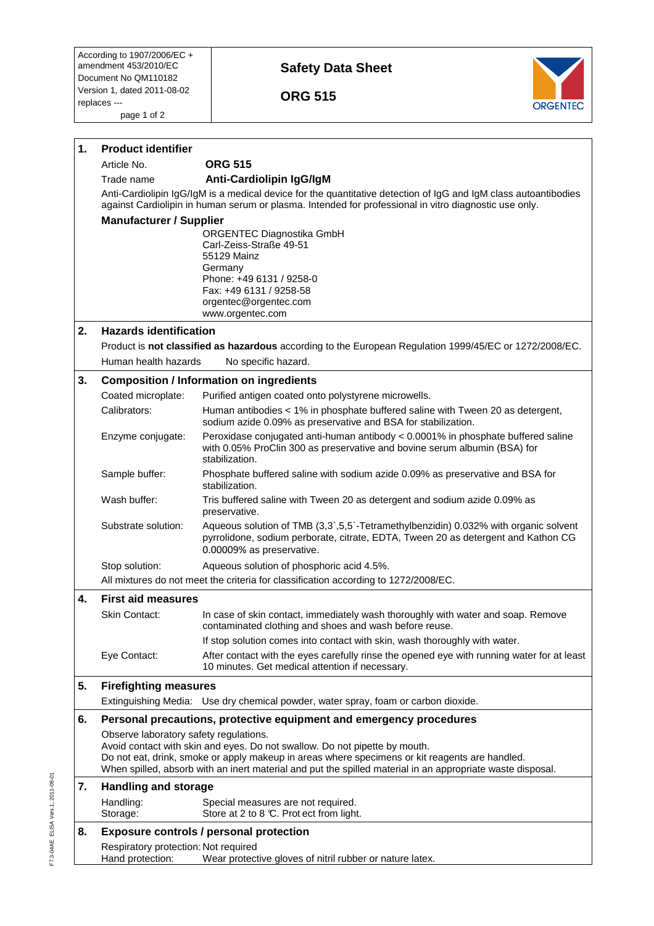## **Safety Data Sheet**

 **ORG 515** 



| 1. | <b>Product identifier</b>                                                                                                                                                                                                                                                                                                            |                                                                                                                                                                                                       |  |
|----|--------------------------------------------------------------------------------------------------------------------------------------------------------------------------------------------------------------------------------------------------------------------------------------------------------------------------------------|-------------------------------------------------------------------------------------------------------------------------------------------------------------------------------------------------------|--|
|    | Article No.                                                                                                                                                                                                                                                                                                                          | <b>ORG 515</b>                                                                                                                                                                                        |  |
|    | Trade name                                                                                                                                                                                                                                                                                                                           | Anti-Cardiolipin IgG/IgM                                                                                                                                                                              |  |
|    | Anti-Cardiolipin IgG/IgM is a medical device for the quantitative detection of IgG and IgM class autoantibodies<br>against Cardiolipin in human serum or plasma. Intended for professional in vitro diagnostic use only.<br><b>Manufacturer / Supplier</b>                                                                           |                                                                                                                                                                                                       |  |
|    |                                                                                                                                                                                                                                                                                                                                      |                                                                                                                                                                                                       |  |
|    |                                                                                                                                                                                                                                                                                                                                      | ORGENTEC Diagnostika GmbH                                                                                                                                                                             |  |
|    |                                                                                                                                                                                                                                                                                                                                      | Carl-Zeiss-Straße 49-51<br>55129 Mainz                                                                                                                                                                |  |
|    |                                                                                                                                                                                                                                                                                                                                      | Germany                                                                                                                                                                                               |  |
|    |                                                                                                                                                                                                                                                                                                                                      | Phone: +49 6131 / 9258-0                                                                                                                                                                              |  |
|    |                                                                                                                                                                                                                                                                                                                                      | Fax: +49 6131 / 9258-58<br>orgentec@orgentec.com                                                                                                                                                      |  |
|    |                                                                                                                                                                                                                                                                                                                                      | www.orgentec.com                                                                                                                                                                                      |  |
| 2. | <b>Hazards identification</b>                                                                                                                                                                                                                                                                                                        |                                                                                                                                                                                                       |  |
|    |                                                                                                                                                                                                                                                                                                                                      | Product is not classified as hazardous according to the European Regulation 1999/45/EC or 1272/2008/EC.                                                                                               |  |
|    | Human health hazards                                                                                                                                                                                                                                                                                                                 | No specific hazard.                                                                                                                                                                                   |  |
| 3. | <b>Composition / Information on ingredients</b>                                                                                                                                                                                                                                                                                      |                                                                                                                                                                                                       |  |
|    | Coated microplate:                                                                                                                                                                                                                                                                                                                   | Purified antigen coated onto polystyrene microwells.                                                                                                                                                  |  |
|    | Calibrators:                                                                                                                                                                                                                                                                                                                         | Human antibodies < 1% in phosphate buffered saline with Tween 20 as detergent,<br>sodium azide 0.09% as preservative and BSA for stabilization.                                                       |  |
|    | Enzyme conjugate:                                                                                                                                                                                                                                                                                                                    | Peroxidase conjugated anti-human antibody < 0.0001% in phosphate buffered saline<br>with 0.05% ProClin 300 as preservative and bovine serum albumin (BSA) for<br>stabilization.                       |  |
|    | Sample buffer:                                                                                                                                                                                                                                                                                                                       | Phosphate buffered saline with sodium azide 0.09% as preservative and BSA for<br>stabilization.                                                                                                       |  |
|    | Wash buffer:                                                                                                                                                                                                                                                                                                                         | Tris buffered saline with Tween 20 as detergent and sodium azide 0.09% as<br>preservative.                                                                                                            |  |
|    | Substrate solution:                                                                                                                                                                                                                                                                                                                  | Aqueous solution of TMB (3,3`,5,5`-Tetramethylbenzidin) 0.032% with organic solvent<br>pyrrolidone, sodium perborate, citrate, EDTA, Tween 20 as detergent and Kathon CG<br>0.00009% as preservative. |  |
|    | Stop solution:                                                                                                                                                                                                                                                                                                                       | Aqueous solution of phosphoric acid 4.5%.                                                                                                                                                             |  |
|    |                                                                                                                                                                                                                                                                                                                                      | All mixtures do not meet the criteria for classification according to 1272/2008/EC.                                                                                                                   |  |
| 4. | <b>First aid measures</b>                                                                                                                                                                                                                                                                                                            |                                                                                                                                                                                                       |  |
|    | Skin Contact:                                                                                                                                                                                                                                                                                                                        | In case of skin contact, immediately wash thoroughly with water and soap. Remove<br>contaminated clothing and shoes and wash before reuse.                                                            |  |
|    |                                                                                                                                                                                                                                                                                                                                      | If stop solution comes into contact with skin, wash thoroughly with water.                                                                                                                            |  |
|    | Eye Contact:                                                                                                                                                                                                                                                                                                                         | After contact with the eyes carefully rinse the opened eye with running water for at least<br>10 minutes. Get medical attention if necessary.                                                         |  |
| 5. | <b>Firefighting measures</b>                                                                                                                                                                                                                                                                                                         |                                                                                                                                                                                                       |  |
|    |                                                                                                                                                                                                                                                                                                                                      | Extinguishing Media: Use dry chemical powder, water spray, foam or carbon dioxide.                                                                                                                    |  |
| 6. |                                                                                                                                                                                                                                                                                                                                      | Personal precautions, protective equipment and emergency procedures                                                                                                                                   |  |
|    | Observe laboratory safety regulations.<br>Avoid contact with skin and eyes. Do not swallow. Do not pipette by mouth.<br>Do not eat, drink, smoke or apply makeup in areas where specimens or kit reagents are handled.<br>When spilled, absorb with an inert material and put the spilled material in an appropriate waste disposal. |                                                                                                                                                                                                       |  |
| 7. |                                                                                                                                                                                                                                                                                                                                      | <b>Handling and storage</b>                                                                                                                                                                           |  |
|    | Handling:<br>Storage:                                                                                                                                                                                                                                                                                                                | Special measures are not required.<br>Store at 2 to 8 °C. Prot ect from light.                                                                                                                        |  |
| 8. | <b>Exposure controls / personal protection</b>                                                                                                                                                                                                                                                                                       |                                                                                                                                                                                                       |  |
|    | Respiratory protection: Not required<br>Hand protection:                                                                                                                                                                                                                                                                             | Wear protective gloves of nitril rubber or nature latex.                                                                                                                                              |  |